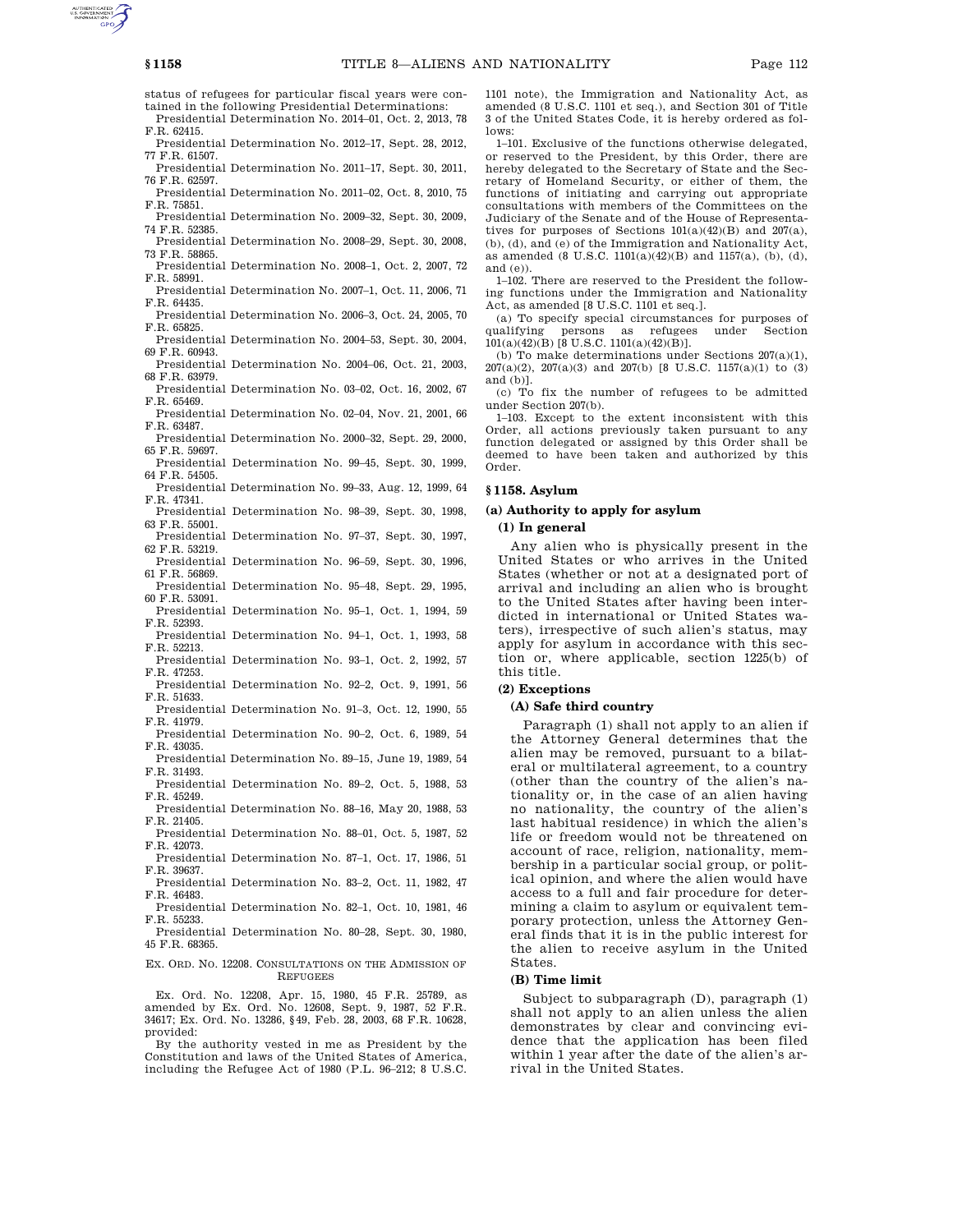status of refugees for particular fiscal years were contained in the following Presidential Determinations:

Presidential Determination No. 2014–01, Oct. 2, 2013, 78 F.R. 62415. Presidential Determination No. 2012–17, Sept. 28, 2012,

77 F.R. 61507. Presidential Determination No. 2011–17, Sept. 30, 2011,

76 F.R. 62597.

Presidential Determination No. 2011–02, Oct. 8, 2010, 75 F.R. 75851.

Presidential Determination No. 2009–32, Sept. 30, 2009, 74 F.R. 52385.

Presidential Determination No. 2008–29, Sept. 30, 2008, 73 F.R. 58865.

Presidential Determination No. 2008–1, Oct. 2, 2007, 72 F.R. 58991.

Presidential Determination No. 2007–1, Oct. 11, 2006, 71 F.R. 64435.

Presidential Determination No. 2006–3, Oct. 24, 2005, 70 F.R. 65825.

Presidential Determination No. 2004–53, Sept. 30, 2004, 69 F.R. 60943.

Presidential Determination No. 2004–06, Oct. 21, 2003, 68 F.R. 63979.

Presidential Determination No. 03–02, Oct. 16, 2002, 67 F.R. 65469.

Presidential Determination No. 02–04, Nov. 21, 2001, 66 F.R. 63487.

Presidential Determination No. 2000–32, Sept. 29, 2000, 65 F.R. 59697.

Presidential Determination No. 99–45, Sept. 30, 1999, 64 F.R. 54505.

Presidential Determination No. 99–33, Aug. 12, 1999, 64 F.R. 47341.

Presidential Determination No. 98–39, Sept. 30, 1998, 63 F.R. 55001.

Presidential Determination No. 97–37, Sept. 30, 1997, 62 F.R. 53219.

Presidential Determination No. 96–59, Sept. 30, 1996, 61 F.R. 56869.

Presidential Determination No. 95–48, Sept. 29, 1995, 60 F.R. 53091.

Presidential Determination No. 95–1, Oct. 1, 1994, 59 F.R. 52393.

Presidential Determination No. 94–1, Oct. 1, 1993, 58 F.R. 52213. Presidential Determination No. 93–1, Oct. 2, 1992, 57

F.R. 47253.

Presidential Determination No. 92–2, Oct. 9, 1991, 56 F.R. 51633.

Presidential Determination No. 91–3, Oct. 12, 1990, 55 F.R. 41979.

Presidential Determination No. 90–2, Oct. 6, 1989, 54 F.R. 43035.

Presidential Determination No. 89–15, June 19, 1989, 54 F.R. 31493.

Presidential Determination No. 89–2, Oct. 5, 1988, 53 F.R. 45249.

Presidential Determination No. 88–16, May 20, 1988, 53 F.R. 21405.

Presidential Determination No. 88–01, Oct. 5, 1987, 52 F.R. 42073.

Presidential Determination No. 87–1, Oct. 17, 1986, 51 F.R. 39637.

Presidential Determination No. 83–2, Oct. 11, 1982, 47 F.R. 46483.

Presidential Determination No. 82–1, Oct. 10, 1981, 46 F.R. 55233.

Presidential Determination No. 80–28, Sept. 30, 1980, 45 F.R. 68365.

### EX. ORD. NO. 12208. CONSULTATIONS ON THE ADMISSION OF REFUGEES

Ex. Ord. No. 12208, Apr. 15, 1980, 45 F.R. 25789, as amended by Ex. Ord. No. 12608, Sept. 9, 1987, 52 F.R. 34617; Ex. Ord. No. 13286, §49, Feb. 28, 2003, 68 F.R. 10628, provided:

By the authority vested in me as President by the Constitution and laws of the United States of America, including the Refugee Act of 1980 (P.L. 96–212; 8 U.S.C. 1101 note), the Immigration and Nationality Act, as amended (8 U.S.C. 1101 et seq.), and Section 301 of Title 3 of the United States Code, it is hereby ordered as follows:

1–101. Exclusive of the functions otherwise delegated, or reserved to the President, by this Order, there are hereby delegated to the Secretary of State and the Secretary of Homeland Security, or either of them, the functions of initiating and carrying out appropriate consultations with members of the Committees on the Judiciary of the Senate and of the House of Representatives for purposes of Sections  $101(a)(42)(B)$  and  $207(a)$ . (b), (d), and (e) of the Immigration and Nationality Act, as amended (8 U.S.C. 1101(a)(42)(B) and 1157(a), (b), (d), and  $(e)$ ).

1–102. There are reserved to the President the following functions under the Immigration and Nationality Act, as amended [8 U.S.C. 1101 et seq.].

(a) To specify special circumstances for purposes of qualifying persons as refugees under Section 101(a)(42)(B) [8 U.S.C. 1101(a)(42)(B)].

(b) To make determinations under Sections 207(a)(1), 207(a)(2), 207(a)(3) and 207(b) [8 U.S.C. 1157(a)(1) to (3) and (b)].

(c) To fix the number of refugees to be admitted under Section 207(b).

1–103. Except to the extent inconsistent with this Order, all actions previously taken pursuant to any function delegated or assigned by this Order shall be deemed to have been taken and authorized by this Order.

### **§ 1158. Asylum**

# **(a) Authority to apply for asylum**

**(1) In general**

Any alien who is physically present in the United States or who arrives in the United States (whether or not at a designated port of arrival and including an alien who is brought to the United States after having been interdicted in international or United States waters), irrespective of such alien's status, may apply for asylum in accordance with this section or, where applicable, section 1225(b) of this title.

# **(2) Exceptions**

#### **(A) Safe third country**

Paragraph (1) shall not apply to an alien if the Attorney General determines that the alien may be removed, pursuant to a bilateral or multilateral agreement, to a country (other than the country of the alien's nationality or, in the case of an alien having no nationality, the country of the alien's last habitual residence) in which the alien's life or freedom would not be threatened on account of race, religion, nationality, membership in a particular social group, or political opinion, and where the alien would have access to a full and fair procedure for determining a claim to asylum or equivalent temporary protection, unless the Attorney General finds that it is in the public interest for the alien to receive asylum in the United States.

### **(B) Time limit**

Subject to subparagraph (D), paragraph (1) shall not apply to an alien unless the alien demonstrates by clear and convincing evidence that the application has been filed within 1 year after the date of the alien's arrival in the United States.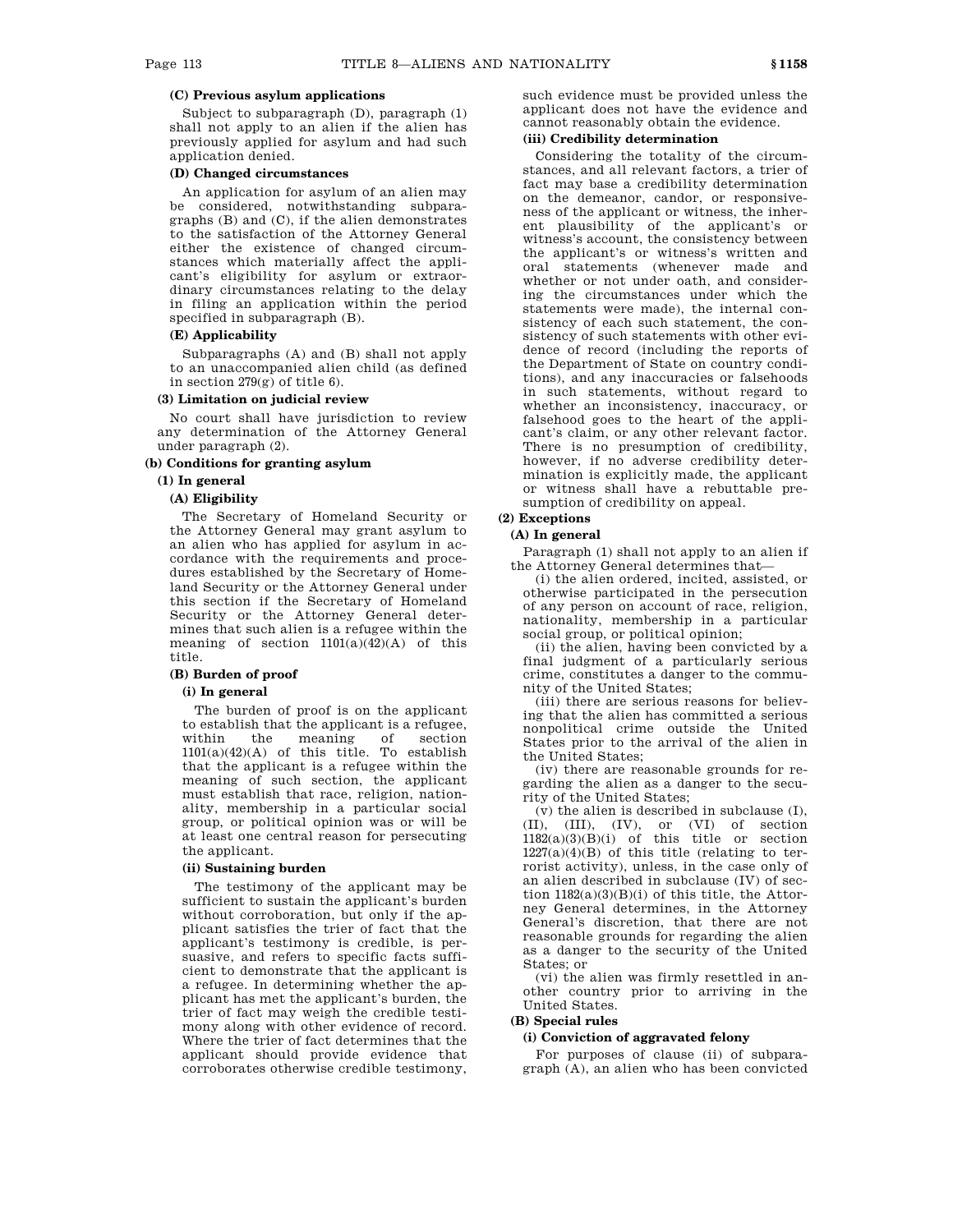# **(C) Previous asylum applications**

Subject to subparagraph (D), paragraph (1) shall not apply to an alien if the alien has previously applied for asylum and had such application denied.

# **(D) Changed circumstances**

An application for asylum of an alien may be considered, notwithstanding subparagraphs (B) and (C), if the alien demonstrates to the satisfaction of the Attorney General either the existence of changed circumstances which materially affect the applicant's eligibility for asylum or extraordinary circumstances relating to the delay in filing an application within the period specified in subparagraph (B).

# **(E) Applicability**

Subparagraphs (A) and (B) shall not apply to an unaccompanied alien child (as defined in section 279(g) of title 6).

# **(3) Limitation on judicial review**

No court shall have jurisdiction to review any determination of the Attorney General under paragraph (2).

# **(b) Conditions for granting asylum**

# **(1) In general**

### **(A) Eligibility**

The Secretary of Homeland Security or the Attorney General may grant asylum to an alien who has applied for asylum in accordance with the requirements and procedures established by the Secretary of Homeland Security or the Attorney General under this section if the Secretary of Homeland Security or the Attorney General determines that such alien is a refugee within the meaning of section  $1101(a)(42)(A)$  of this title.

# **(B) Burden of proof**

#### **(i) In general**

The burden of proof is on the applicant to establish that the applicant is a refugee, within the meaning of section  $1101(a)(42)(A)$  of this title. To establish that the applicant is a refugee within the meaning of such section, the applicant must establish that race, religion, nationality, membership in a particular social group, or political opinion was or will be at least one central reason for persecuting the applicant.

# **(ii) Sustaining burden**

The testimony of the applicant may be sufficient to sustain the applicant's burden without corroboration, but only if the applicant satisfies the trier of fact that the applicant's testimony is credible, is persuasive, and refers to specific facts sufficient to demonstrate that the applicant is a refugee. In determining whether the applicant has met the applicant's burden, the trier of fact may weigh the credible testimony along with other evidence of record. Where the trier of fact determines that the applicant should provide evidence that corroborates otherwise credible testimony, such evidence must be provided unless the applicant does not have the evidence and cannot reasonably obtain the evidence.

# **(iii) Credibility determination**

Considering the totality of the circumstances, and all relevant factors, a trier of fact may base a credibility determination on the demeanor, candor, or responsiveness of the applicant or witness, the inherent plausibility of the applicant's or witness's account, the consistency between the applicant's or witness's written and oral statements (whenever made and whether or not under oath, and considering the circumstances under which the statements were made), the internal consistency of each such statement, the consistency of such statements with other evidence of record (including the reports of the Department of State on country conditions), and any inaccuracies or falsehoods in such statements, without regard to whether an inconsistency, inaccuracy, or falsehood goes to the heart of the applicant's claim, or any other relevant factor. There is no presumption of credibility, however, if no adverse credibility determination is explicitly made, the applicant or witness shall have a rebuttable presumption of credibility on appeal.

# **(2) Exceptions**

# **(A) In general**

Paragraph (1) shall not apply to an alien if the Attorney General determines that—

(i) the alien ordered, incited, assisted, or otherwise participated in the persecution of any person on account of race, religion, nationality, membership in a particular social group, or political opinion:

(ii) the alien, having been convicted by a final judgment of a particularly serious crime, constitutes a danger to the community of the United States;

(iii) there are serious reasons for believing that the alien has committed a serious nonpolitical crime outside the United States prior to the arrival of the alien in the United States;

(iv) there are reasonable grounds for regarding the alien as a danger to the security of the United States;

(v) the alien is described in subclause (I), (II), (III), (IV), or (VI) of section 1182(a)(3)(B)(i) of this title or section  $1227(a)(4)(B)$  of this title (relating to terrorist activity), unless, in the case only of an alien described in subclause (IV) of section  $1182(a)(3)(B)(i)$  of this title, the Attorney General determines, in the Attorney General's discretion, that there are not reasonable grounds for regarding the alien as a danger to the security of the United States; or

(vi) the alien was firmly resettled in another country prior to arriving in the United States.

#### **(B) Special rules**

### **(i) Conviction of aggravated felony**

For purposes of clause (ii) of subparagraph (A), an alien who has been convicted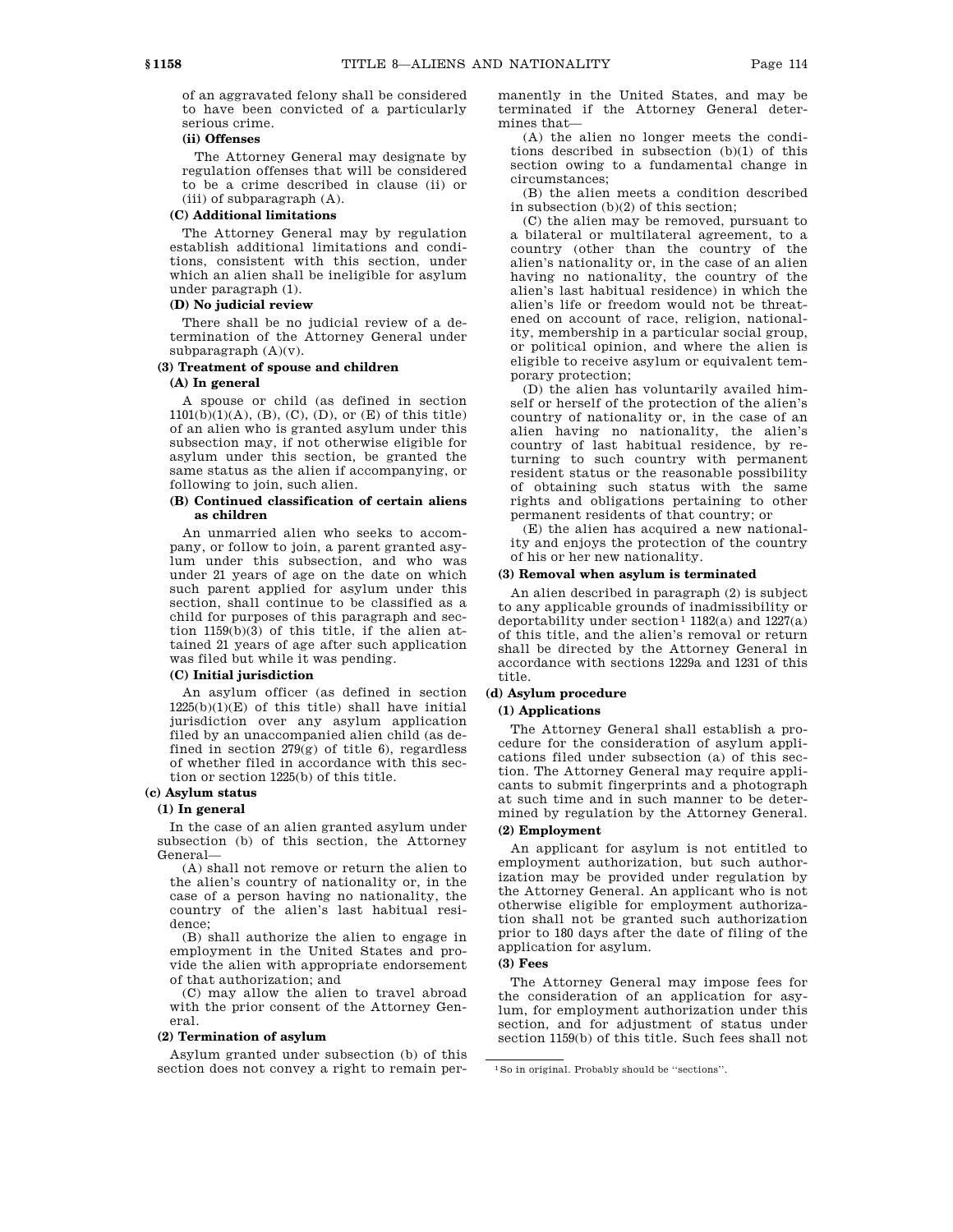of an aggravated felony shall be considered to have been convicted of a particularly serious crime.

## **(ii) Offenses**

The Attorney General may designate by regulation offenses that will be considered to be a crime described in clause (ii) or (iii) of subparagraph (A).

## **(C) Additional limitations**

The Attorney General may by regulation establish additional limitations and conditions, consistent with this section, under which an alien shall be ineligible for asylum under paragraph (1).

# **(D) No judicial review**

There shall be no judicial review of a determination of the Attorney General under subparagraph  $(A)(v)$ .

# **(3) Treatment of spouse and children**

# **(A) In general**

A spouse or child (as defined in section  $1101(b)(1)(A), (B), (C), (D),$  or  $(E)$  of this title) of an alien who is granted asylum under this subsection may, if not otherwise eligible for asylum under this section, be granted the same status as the alien if accompanying, or following to join, such alien.

# **(B) Continued classification of certain aliens as children**

An unmarried alien who seeks to accompany, or follow to join, a parent granted asylum under this subsection, and who was under 21 years of age on the date on which such parent applied for asylum under this section, shall continue to be classified as a child for purposes of this paragraph and section 1159(b)(3) of this title, if the alien attained 21 years of age after such application was filed but while it was pending.

# **(C) Initial jurisdiction**

An asylum officer (as defined in section  $1225(b)(1)(E)$  of this title) shall have initial jurisdiction over any asylum application filed by an unaccompanied alien child (as defined in section 279(g) of title 6), regardless of whether filed in accordance with this section or section 1225(b) of this title.

# **(c) Asylum status**

# **(1) In general**

In the case of an alien granted asylum under subsection (b) of this section, the Attorney General—

(A) shall not remove or return the alien to the alien's country of nationality or, in the case of a person having no nationality, the country of the alien's last habitual residence;

(B) shall authorize the alien to engage in employment in the United States and provide the alien with appropriate endorsement of that authorization; and

(C) may allow the alien to travel abroad with the prior consent of the Attorney General.

#### **(2) Termination of asylum**

Asylum granted under subsection (b) of this section does not convey a right to remain permanently in the United States, and may be terminated if the Attorney General determines that—

(A) the alien no longer meets the conditions described in subsection (b)(1) of this section owing to a fundamental change in circumstances;

(B) the alien meets a condition described in subsection (b)(2) of this section;

(C) the alien may be removed, pursuant to a bilateral or multilateral agreement, to a country (other than the country of the alien's nationality or, in the case of an alien having no nationality, the country of the alien's last habitual residence) in which the alien's life or freedom would not be threatened on account of race, religion, nationality, membership in a particular social group, or political opinion, and where the alien is eligible to receive asylum or equivalent temporary protection;

(D) the alien has voluntarily availed himself or herself of the protection of the alien's country of nationality or, in the case of an alien having no nationality, the alien's country of last habitual residence, by returning to such country with permanent resident status or the reasonable possibility of obtaining such status with the same rights and obligations pertaining to other permanent residents of that country; or

(E) the alien has acquired a new nationality and enjoys the protection of the country of his or her new nationality.

# **(3) Removal when asylum is terminated**

An alien described in paragraph (2) is subject to any applicable grounds of inadmissibility or deportability under section<sup>1</sup> 1182(a) and  $1227(a)$ of this title, and the alien's removal or return shall be directed by the Attorney General in accordance with sections 1229a and 1231 of this title.

# **(d) Asylum procedure**

# **(1) Applications**

The Attorney General shall establish a procedure for the consideration of asylum applications filed under subsection (a) of this section. The Attorney General may require applicants to submit fingerprints and a photograph at such time and in such manner to be determined by regulation by the Attorney General.

# **(2) Employment**

An applicant for asylum is not entitled to employment authorization, but such authorization may be provided under regulation by the Attorney General. An applicant who is not otherwise eligible for employment authorization shall not be granted such authorization prior to 180 days after the date of filing of the application for asylum.

# **(3) Fees**

The Attorney General may impose fees for the consideration of an application for asylum, for employment authorization under this section, and for adjustment of status under section 1159(b) of this title. Such fees shall not

<sup>1</sup>So in original. Probably should be ''sections''.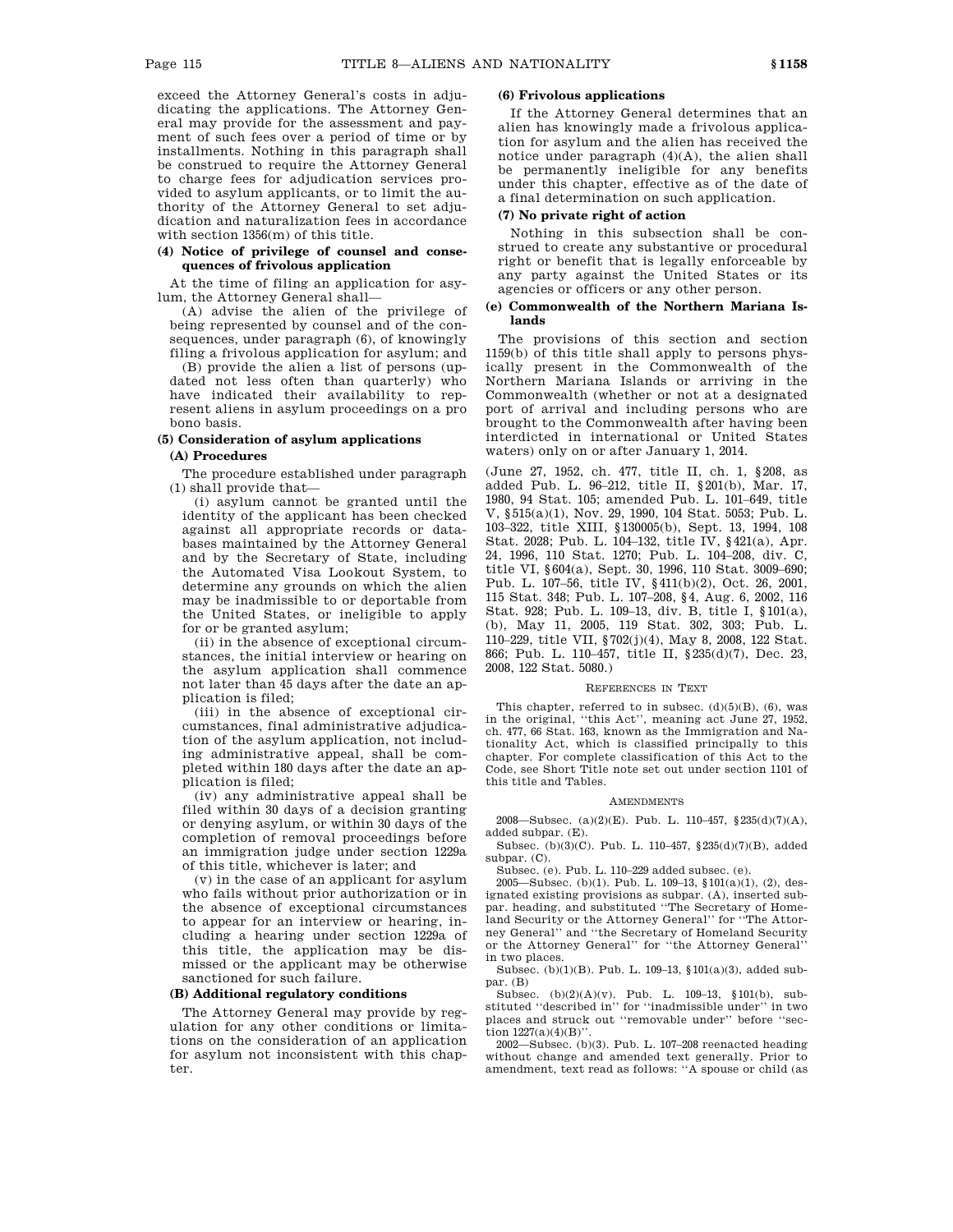exceed the Attorney General's costs in adjudicating the applications. The Attorney General may provide for the assessment and payment of such fees over a period of time or by installments. Nothing in this paragraph shall be construed to require the Attorney General to charge fees for adjudication services provided to asylum applicants, or to limit the authority of the Attorney General to set adjudication and naturalization fees in accordance with section 1356(m) of this title.

# **(4) Notice of privilege of counsel and consequences of frivolous application**

At the time of filing an application for asylum, the Attorney General shall—

(A) advise the alien of the privilege of being represented by counsel and of the consequences, under paragraph (6), of knowingly filing a frivolous application for asylum; and

(B) provide the alien a list of persons (updated not less often than quarterly) who have indicated their availability to represent aliens in asylum proceedings on a pro bono basis.

# **(5) Consideration of asylum applications**

### **(A) Procedures**

The procedure established under paragraph (1) shall provide that—

(i) asylum cannot be granted until the identity of the applicant has been checked against all appropriate records or databases maintained by the Attorney General and by the Secretary of State, including the Automated Visa Lookout System, to determine any grounds on which the alien may be inadmissible to or deportable from the United States, or ineligible to apply for or be granted asylum;

(ii) in the absence of exceptional circumstances, the initial interview or hearing on the asylum application shall commence not later than 45 days after the date an application is filed;

(iii) in the absence of exceptional circumstances, final administrative adjudication of the asylum application, not including administrative appeal, shall be completed within 180 days after the date an application is filed;

(iv) any administrative appeal shall be filed within 30 days of a decision granting or denying asylum, or within 30 days of the completion of removal proceedings before an immigration judge under section 1229a of this title, whichever is later; and

(v) in the case of an applicant for asylum who fails without prior authorization or in the absence of exceptional circumstances to appear for an interview or hearing, including a hearing under section 1229a of this title, the application may be dismissed or the applicant may be otherwise sanctioned for such failure.

# **(B) Additional regulatory conditions**

The Attorney General may provide by regulation for any other conditions or limitations on the consideration of an application for asylum not inconsistent with this chapter.

# **(6) Frivolous applications**

If the Attorney General determines that an alien has knowingly made a frivolous application for asylum and the alien has received the notice under paragraph (4)(A), the alien shall be permanently ineligible for any benefits under this chapter, effective as of the date of a final determination on such application.

# **(7) No private right of action**

Nothing in this subsection shall be construed to create any substantive or procedural right or benefit that is legally enforceable by any party against the United States or its agencies or officers or any other person.

## **(e) Commonwealth of the Northern Mariana Islands**

The provisions of this section and section 1159(b) of this title shall apply to persons physically present in the Commonwealth of the Northern Mariana Islands or arriving in the Commonwealth (whether or not at a designated port of arrival and including persons who are brought to the Commonwealth after having been interdicted in international or United States waters) only on or after January 1, 2014.

(June 27, 1952, ch. 477, title II, ch. 1, §208, as added Pub. L. 96–212, title II, §201(b), Mar. 17, 1980, 94 Stat. 105; amended Pub. L. 101–649, title V, §515(a)(1), Nov. 29, 1990, 104 Stat. 5053; Pub. L. 103–322, title XIII, §130005(b), Sept. 13, 1994, 108 Stat. 2028; Pub. L. 104–132, title IV, §421(a), Apr. 24, 1996, 110 Stat. 1270; Pub. L. 104–208, div. C, title VI, §604(a), Sept. 30, 1996, 110 Stat. 3009–690; Pub. L. 107–56, title IV, §411(b)(2), Oct. 26, 2001, 115 Stat. 348; Pub. L. 107–208, §4, Aug. 6, 2002, 116 Stat. 928; Pub. L. 109–13, div. B, title I, §101(a), (b), May 11, 2005, 119 Stat. 302, 303; Pub. L. 110–229, title VII, §702(j)(4), May 8, 2008, 122 Stat. 866; Pub. L. 110–457, title II, §235(d)(7), Dec. 23, 2008, 122 Stat. 5080.)

#### REFERENCES IN TEXT

This chapter, referred to in subsec.  $(d)(5)(B)$ ,  $(6)$ , was in the original, ''this Act'', meaning act June 27, 1952, ch. 477, 66 Stat. 163, known as the Immigration and Nationality Act, which is classified principally to this chapter. For complete classification of this Act to the Code, see Short Title note set out under section 1101 of this title and Tables.

#### **AMENDMENTS**

2008—Subsec. (a)(2)(E). Pub. L. 110–457, §235(d)(7)(A), added subpar. (E).

Subsec. (b)(3)(C). Pub. L. 110–457, §235(d)(7)(B), added subpar. (C).

Subsec. (e). Pub. L. 110–229 added subsec. (e).

2005—Subsec. (b)(1). Pub. L. 109–13, §101(a)(1), (2), designated existing provisions as subpar. (A), inserted subpar. heading, and substituted ''The Secretary of Homeland Security or the Attorney General'' for ''The Attorney General'' and ''the Secretary of Homeland Security or the Attorney General'' for ''the Attorney General'' in two places.

Subsec. (b)(1)(B). Pub. L. 109–13, §101(a)(3), added subpar. (B)

Subsec.  $(b)(2)(A)(v)$ . Pub. L. 109-13, §101(b), substituted ''described in'' for ''inadmissible under'' in two places and struck out ''removable under'' before ''section  $1227(a)(4)(B)$ ".

2002—Subsec. (b)(3). Pub. L. 107–208 reenacted heading without change and amended text generally. Prior to amendment, text read as follows: ''A spouse or child (as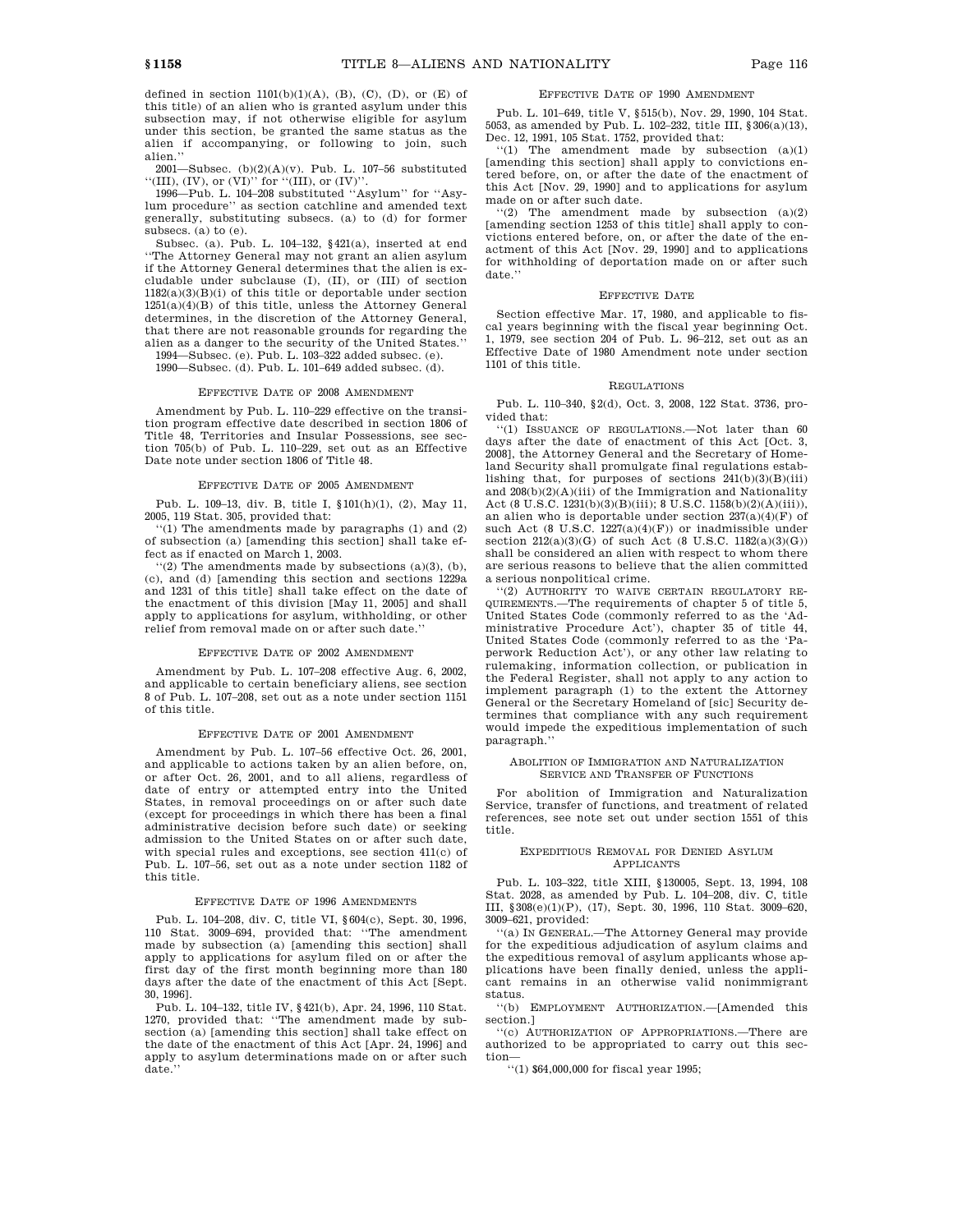defined in section  $1101(b)(1)(A)$ , (B), (C), (D), or (E) of this title) of an alien who is granted asylum under this subsection may, if not otherwise eligible for asylum under this section, be granted the same status as the alien if accompanying, or following to join, such alien.

2001—Subsec.  $(b)(2)(A)(v)$ . Pub. L. 107-56 substituted "(III),  $(IV)$ , or  $(VI)$ " for " $(III)$ , or  $(IV)$ ".

1996—Pub. L. 104–208 substituted ''Asylum'' for ''Asylum procedure'' as section catchline and amended text generally, substituting subsecs. (a) to (d) for former subsecs. (a) to (e).

Subsec. (a). Pub. L. 104–132, §421(a), inserted at end ''The Attorney General may not grant an alien asylum if the Attorney General determines that the alien is excludable under subclause (I), (II), or (III) of section  $1182(a)(3)(B)(i)$  of this title or deportable under section 1251(a)(4)(B) of this title, unless the Attorney General determines, in the discretion of the Attorney General, that there are not reasonable grounds for regarding the alien as a danger to the security of the United States.''

1994—Subsec. (e). Pub. L. 103–322 added subsec. (e).

1990—Subsec. (d). Pub. L. 101–649 added subsec. (d).

#### EFFECTIVE DATE OF 2008 AMENDMENT

Amendment by Pub. L. 110–229 effective on the transition program effective date described in section 1806 of Title 48, Territories and Insular Possessions, see section 705(b) of Pub. L. 110–229, set out as an Effective Date note under section 1806 of Title 48.

# EFFECTIVE DATE OF 2005 AMENDMENT

Pub. L. 109–13, div. B, title I, §101(h)(1), (2), May 11, 2005, 119 Stat. 305, provided that:

''(1) The amendments made by paragraphs (1) and (2) of subsection (a) [amending this section] shall take effect as if enacted on March 1, 2003.

 $''(2)$  The amendments made by subsections  $(a)(3)$ ,  $(b)$ , (c), and (d) [amending this section and sections 1229a and 1231 of this title] shall take effect on the date of the enactment of this division [May 11, 2005] and shall apply to applications for asylum, withholding, or other relief from removal made on or after such date.''

#### EFFECTIVE DATE OF 2002 AMENDMENT

Amendment by Pub. L. 107–208 effective Aug. 6, 2002, and applicable to certain beneficiary aliens, see section 8 of Pub. L. 107–208, set out as a note under section 1151 of this title.

#### EFFECTIVE DATE OF 2001 AMENDMENT

Amendment by Pub. L. 107–56 effective Oct. 26, 2001, and applicable to actions taken by an alien before, on, or after Oct. 26, 2001, and to all aliens, regardless of date of entry or attempted entry into the United States, in removal proceedings on or after such date (except for proceedings in which there has been a final administrative decision before such date) or seeking admission to the United States on or after such date, with special rules and exceptions, see section 411(c) of Pub. L. 107–56, set out as a note under section 1182 of this title.

#### EFFECTIVE DATE OF 1996 AMENDMENTS

Pub. L. 104–208, div. C, title VI, §604(c), Sept. 30, 1996, 110 Stat. 3009–694, provided that: ''The amendment made by subsection (a) [amending this section] shall apply to applications for asylum filed on or after the first day of the first month beginning more than 180 days after the date of the enactment of this Act [Sept. 30, 1996].

Pub. L. 104–132, title IV, §421(b), Apr. 24, 1996, 110 Stat. 1270, provided that: ''The amendment made by subsection (a) [amending this section] shall take effect on the date of the enactment of this Act [Apr. 24, 1996] and apply to asylum determinations made on or after such date.''

### EFFECTIVE DATE OF 1990 AMENDMENT

Pub. L. 101–649, title V, §515(b), Nov. 29, 1990, 104 Stat. 5053, as amended by Pub. L. 102–232, title III, §306(a)(13), Dec. 12, 1991, 105 Stat. 1752, provided that:

''(1) The amendment made by subsection (a)(1) [amending this section] shall apply to convictions entered before, on, or after the date of the enactment of this Act [Nov. 29, 1990] and to applications for asylum made on or after such date.

"(2) The amendment made by subsection  $(a)(2)$ [amending section 1253 of this title] shall apply to convictions entered before, on, or after the date of the enactment of this Act [Nov. 29, 1990] and to applications for withholding of deportation made on or after such date.''

#### EFFECTIVE DATE

Section effective Mar. 17, 1980, and applicable to fiscal years beginning with the fiscal year beginning Oct. 1, 1979, see section 204 of Pub. L. 96–212, set out as an Effective Date of 1980 Amendment note under section 1101 of this title.

#### REGULATIONS

Pub. L. 110–340, §2(d), Oct. 3, 2008, 122 Stat. 3736, provided that:

''(1) ISSUANCE OF REGULATIONS.—Not later than 60 days after the date of enactment of this Act [Oct. 3, 2008], the Attorney General and the Secretary of Homeland Security shall promulgate final regulations establishing that, for purposes of sections 241(b)(3)(B)(iii) and 208(b)(2)(A)(iii) of the Immigration and Nationality Act (8 U.S.C. 1231(b)(3)(B)(iii); 8 U.S.C. 1158(b)(2)(A)(iii)), an alien who is deportable under section  $237(a)(4)(F)$  of such Act (8 U.S.C. 1227(a)(4)(F)) or inadmissible under section  $212(a)(3)(G)$  of such Act (8 U.S.C.  $1182(a)(3)(G)$ ) shall be considered an alien with respect to whom there are serious reasons to believe that the alien committed a serious nonpolitical crime.

''(2) AUTHORITY TO WAIVE CERTAIN REGULATORY RE-QUIREMENTS.—The requirements of chapter 5 of title 5, United States Code (commonly referred to as the 'Administrative Procedure Act'), chapter 35 of title 44, United States Code (commonly referred to as the 'Paperwork Reduction Act'), or any other law relating to rulemaking, information collection, or publication in the Federal Register, shall not apply to any action to implement paragraph (1) to the extent the Attorney General or the Secretary Homeland of [sic] Security determines that compliance with any such requirement would impede the expeditious implementation of such paragraph.''

#### ABOLITION OF IMMIGRATION AND NATURALIZATION SERVICE AND TRANSFER OF FUNCTIONS

For abolition of Immigration and Naturalization Service, transfer of functions, and treatment of related references, see note set out under section 1551 of this title.

### EXPEDITIOUS REMOVAL FOR DENIED ASYLUM APPLICANTS

Pub. L. 103–322, title XIII, §130005, Sept. 13, 1994, 108 Stat. 2028, as amended by Pub. L. 104–208, div. C, title III, §308(e)(1)(P), (17), Sept. 30, 1996, 110 Stat. 3009–620, 3009–621, provided:

''(a) IN GENERAL.—The Attorney General may provide for the expeditious adjudication of asylum claims and the expeditious removal of asylum applicants whose applications have been finally denied, unless the applicant remains in an otherwise valid nonimmigrant status.

''(b) EMPLOYMENT AUTHORIZATION.—[Amended this section.]

''(c) AUTHORIZATION OF APPROPRIATIONS.—There are authorized to be appropriated to carry out this section—

''(1) \$64,000,000 for fiscal year 1995;